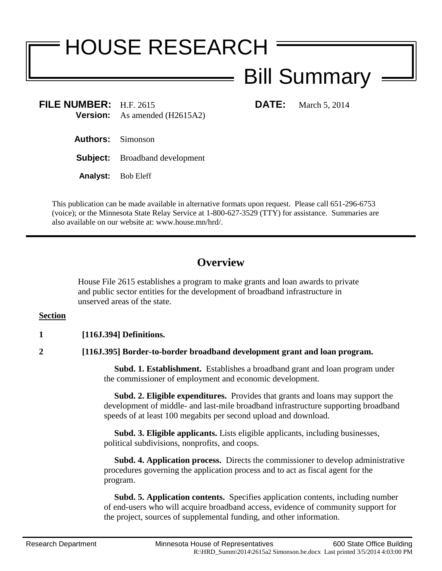# HOUSE RESEARCH

## Bill Summary

**FILE NUMBER:** H.F. 2615 **DATE:** March 5, 2014 **Version:** As amended (H2615A2)

**Authors:** Simonson

**Subject:** Broadband development

**Analyst:** Bob Eleff

This publication can be made available in alternative formats upon request. Please call 651-296-6753 (voice); or the Minnesota State Relay Service at 1-800-627-3529 (TTY) for assistance. Summaries are also available on our website at: www.house.mn/hrd/.

### **Overview**

House File 2615 establishes a program to make grants and loan awards to private and public sector entities for the development of broadband infrastructure in unserved areas of the state.

#### **Section**

#### **1 [116J.394] Definitions.**

**2 [116J.395] Border-to-border broadband development grant and loan program.**

 **Subd. 1. Establishment.** Establishes a broadband grant and loan program under the commissioner of employment and economic development.

 **Subd. 2. Eligible expenditures.** Provides that grants and loans may support the development of middle- and last-mile broadband infrastructure supporting broadband speeds of at least 100 megabits per second upload and download.

 **Subd. 3. Eligible applicants.** Lists eligible applicants, including businesses, political subdivisions, nonprofits, and coops.

 **Subd. 4. Application process.** Directs the commissioner to develop administrative procedures governing the application process and to act as fiscal agent for the program.

 **Subd. 5. Application contents.** Specifies application contents, including number of end-users who will acquire broadband access, evidence of community support for the project, sources of supplemental funding, and other information.